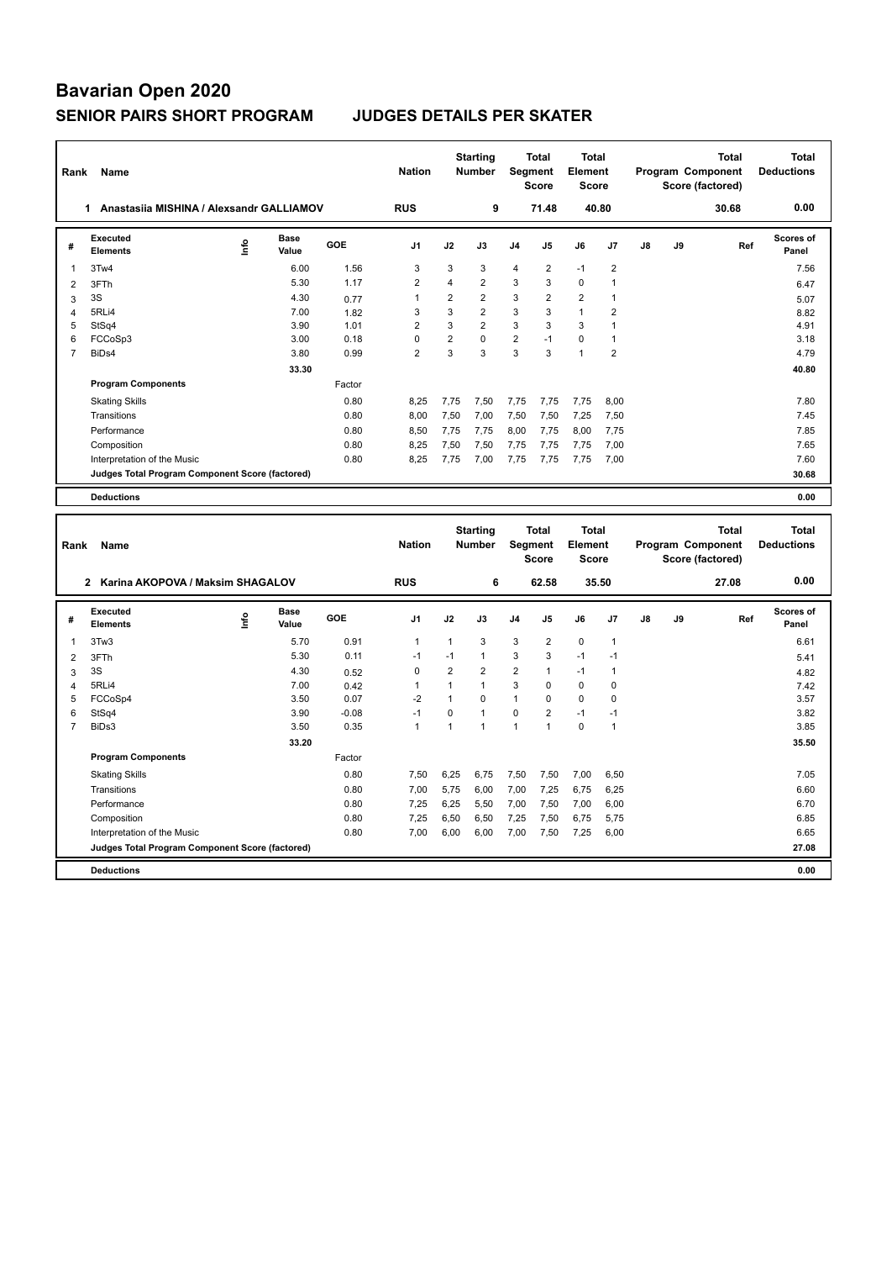| Rank           | Name                                            | <b>Nation</b> |                      | <b>Starting</b><br><b>Number</b> |                | <b>Total</b><br>Segment<br><b>Score</b> | <b>Total</b><br>Element<br><b>Score</b> |      |                                         | Program Component<br>Score (factored)   | <b>Total</b>   | <b>Total</b><br><b>Deductions</b> |                                       |              |                                   |
|----------------|-------------------------------------------------|---------------|----------------------|----------------------------------|----------------|-----------------------------------------|-----------------------------------------|------|-----------------------------------------|-----------------------------------------|----------------|-----------------------------------|---------------------------------------|--------------|-----------------------------------|
|                | 1 Anastasiia MISHINA / Alexsandr GALLIAMOV      |               |                      |                                  | <b>RUS</b>     |                                         | 9                                       |      | 71.48                                   |                                         | 40.80          |                                   |                                       | 30.68        | 0.00                              |
| #              | <b>Executed</b><br><b>Elements</b>              | ۴             | <b>Base</b><br>Value | <b>GOE</b>                       | J <sub>1</sub> | J2                                      | J3                                      | J4   | J5                                      | J6                                      | J7             | J8                                | J9                                    | Ref          | <b>Scores of</b><br>Panel         |
| 1              | 3Tw4                                            |               | 6.00                 | 1.56                             | 3              | 3                                       | 3                                       | 4    | $\overline{2}$                          | $-1$                                    | $\overline{2}$ |                                   |                                       |              | 7.56                              |
| $\overline{2}$ | 3FTh                                            |               | 5.30                 | 1.17                             | $\overline{2}$ | 4                                       | $\overline{2}$                          | 3    | 3                                       | $\mathbf 0$                             | $\overline{1}$ |                                   |                                       |              | 6.47                              |
| 3              | 3S                                              |               | 4.30                 | 0.77                             | $\mathbf{1}$   | $\overline{2}$                          | $\overline{2}$                          | 3    | $\overline{2}$                          | $\overline{2}$                          | $\mathbf{1}$   |                                   |                                       |              | 5.07                              |
| 4              | 5RLi4                                           |               | 7.00                 | 1.82                             | 3              | 3                                       | $\overline{2}$                          | 3    | 3                                       | $\mathbf{1}$                            | $\overline{2}$ |                                   |                                       |              | 8.82                              |
| 5              | StSq4                                           |               | 3.90                 | 1.01                             | $\overline{2}$ | 3                                       | $\overline{2}$                          | 3    | 3                                       | 3                                       | $\mathbf{1}$   |                                   |                                       |              | 4.91                              |
| 6              | FCCoSp3                                         |               | 3.00                 | 0.18                             | 0              | $\overline{2}$                          | $\Omega$                                | 2    | $-1$                                    | $\mathbf 0$                             | $\mathbf{1}$   |                                   |                                       |              | 3.18                              |
| $\overline{7}$ | BiDs4                                           |               | 3.80                 | 0.99                             | $\overline{2}$ | 3                                       | 3                                       | 3    | 3                                       | $\mathbf{1}$                            | $\overline{2}$ |                                   |                                       |              | 4.79                              |
|                |                                                 |               | 33.30                |                                  |                |                                         |                                         |      |                                         |                                         |                |                                   |                                       |              | 40.80                             |
|                | <b>Program Components</b>                       |               |                      | Factor                           |                |                                         |                                         |      |                                         |                                         |                |                                   |                                       |              |                                   |
|                | <b>Skating Skills</b>                           |               |                      | 0.80                             | 8,25           | 7,75                                    | 7,50                                    | 7,75 | 7,75                                    | 7,75                                    | 8,00           |                                   |                                       |              | 7.80                              |
|                | Transitions                                     |               |                      | 0.80                             | 8,00           | 7,50                                    | 7,00                                    | 7,50 | 7,50                                    | 7,25                                    | 7,50           |                                   |                                       |              | 7.45                              |
|                | Performance                                     |               |                      | 0.80                             | 8,50           | 7,75                                    | 7,75                                    | 8,00 | 7,75                                    | 8,00                                    | 7,75           |                                   |                                       |              | 7.85                              |
|                | Composition                                     |               |                      | 0.80                             | 8,25           | 7,50                                    | 7,50                                    | 7,75 | 7,75                                    | 7,75                                    | 7,00           |                                   |                                       |              | 7.65                              |
|                | Interpretation of the Music                     |               |                      | 0.80                             | 8,25           | 7,75                                    | 7,00                                    | 7,75 | 7,75                                    | 7,75                                    | 7,00           |                                   |                                       |              | 7.60                              |
|                | Judges Total Program Component Score (factored) |               |                      |                                  |                |                                         |                                         |      |                                         |                                         |                |                                   |                                       |              | 30.68                             |
|                |                                                 |               |                      |                                  |                |                                         |                                         |      |                                         |                                         |                |                                   |                                       |              |                                   |
|                | <b>Deductions</b>                               |               |                      |                                  |                |                                         |                                         |      |                                         |                                         |                |                                   |                                       |              | 0.00                              |
| Rank           | Name                                            |               |                      |                                  | <b>Nation</b>  |                                         | <b>Starting</b><br><b>Number</b>        |      | <b>Total</b><br>Segment<br><b>Score</b> | <b>Total</b><br>Element<br><b>Score</b> |                |                                   | Program Component<br>Score (factored) | <b>Total</b> | <b>Total</b><br><b>Deductions</b> |
|                | 2 Karina AKOPOVA / Maksim SHAGALOV              |               |                      |                                  | <b>RUS</b>     |                                         | 6                                       |      | 62.58                                   |                                         | 35.50          |                                   |                                       | 27.08        | 0.00                              |
| #              | <b>Executed</b><br><b>Elements</b>              | ١nfo          | Base<br>Value        | GOE                              | J <sub>1</sub> | J2                                      | J3                                      | J4   | J5                                      | J6                                      | J <sub>7</sub> | J8                                | J9                                    | Ref          | <b>Scores of</b><br>Panel         |
| 1              | 3Tw3                                            |               | 5.70                 | 0.91                             | $\mathbf{1}$   | $\mathbf{1}$                            | 3                                       | 3    | $\overline{2}$                          | $\mathbf 0$                             | $\mathbf{1}$   |                                   |                                       |              | 6.61                              |
| 2              | 3FTh                                            |               | 5.30                 | 0.11                             | $-1$           | $-1$                                    | $\mathbf{1}$                            | 3    | 3                                       | $-1$                                    | $-1$           |                                   |                                       |              | 5.41                              |
| 3              | 3S                                              |               | 4.30                 | 0.52                             | 0              | $\overline{2}$                          | $\overline{2}$                          | 2    | 1                                       | $-1$                                    | $\overline{1}$ |                                   |                                       |              | 4.82                              |
| $\overline{4}$ | 5RLi4                                           |               | 7.00                 | 0.42                             | $\mathbf{1}$   | $\mathbf{1}$                            | $\mathbf{1}$                            | 3    | $\mathbf 0$                             | $\mathbf 0$                             | $\pmb{0}$      |                                   |                                       |              | 7.42                              |
| 5              | FCCoSp4                                         |               | 3.50                 | 0.07                             | $-2$           | $\mathbf{1}$                            | $\Omega$                                | 1    | $\mathbf 0$                             | $\Omega$                                | $\mathbf 0$    |                                   |                                       |              | 3.57                              |
| 6              | StSq4                                           |               | 3.90                 | $-0.08$                          | $-1$           | $\mathbf 0$                             | $\mathbf{1}$                            | 0    | $\overline{2}$                          | $-1$                                    | $-1$           |                                   |                                       |              | 3.82                              |
| $\overline{7}$ | BiDs3                                           |               | 3.50                 | 0.35                             | $\mathbf{1}$   | $\mathbf{1}$                            | $\mathbf{1}$                            | 1    | $\mathbf{1}$                            | $\mathbf 0$                             | $\mathbf{1}$   |                                   |                                       |              | 3.85                              |
|                |                                                 |               | 33.20                |                                  |                |                                         |                                         |      |                                         |                                         |                |                                   |                                       |              | 35.50                             |
|                | <b>Program Components</b>                       |               |                      | Factor                           |                |                                         |                                         |      |                                         |                                         |                |                                   |                                       |              |                                   |
|                | <b>Skating Skills</b>                           |               |                      | 0.80                             | 7,50           | 6,25                                    | 6,75                                    | 7,50 | 7,50                                    | 7,00                                    | 6,50           |                                   |                                       |              | 7.05                              |

Transitions 0.80 7,00 5,75 6,00 7,00 7,25 6,75 6,25 6.60 Performance 0.80 7,25 6,25 5,50 7,00 7,50 7,00 6,00 6.70 Composition 0.80 7,25 6,50 6,50 7,25 7,50 6,75 5,75 6.85 Interpretation of the Music 0.80 7,00 6,00 6,00 7,00 7,50 7,25 6,00 6.65 **Judges Total Program Component Score (factored) 27.08**

**Deductions 0.00**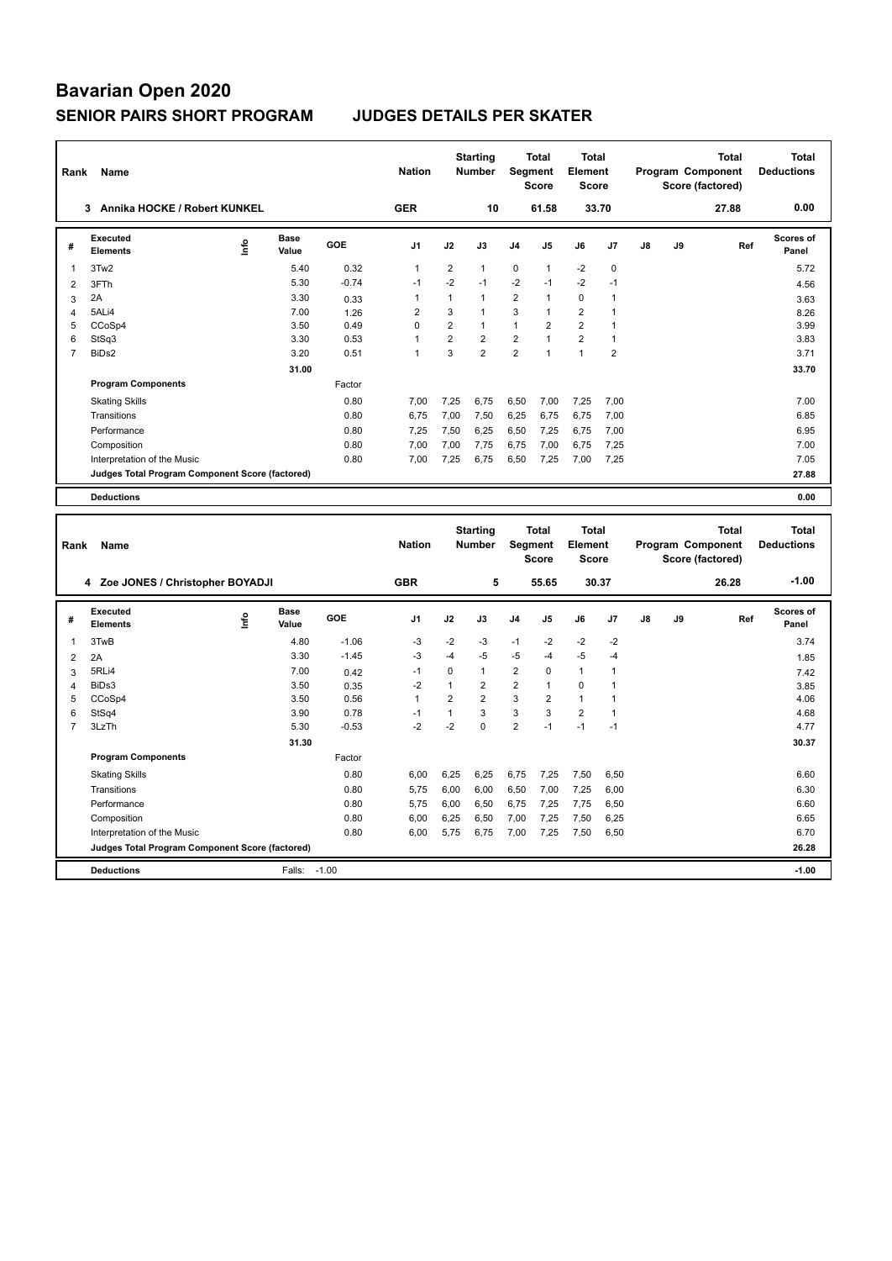**Program Components** 

| Rank           | Name                                            |    |                      |         | <b>Nation</b>  |                | <b>Starting</b><br><b>Number</b> |                | <b>Total</b><br>Segment<br><b>Score</b> | <b>Total</b><br>Element<br><b>Score</b> |                |               |    | <b>Total</b><br>Program Component<br>Score (factored) | <b>Total</b><br><b>Deductions</b> |
|----------------|-------------------------------------------------|----|----------------------|---------|----------------|----------------|----------------------------------|----------------|-----------------------------------------|-----------------------------------------|----------------|---------------|----|-------------------------------------------------------|-----------------------------------|
|                | 3 Annika HOCKE / Robert KUNKEL                  |    |                      |         | <b>GER</b>     |                | 10                               |                | 61.58                                   |                                         | 33.70          |               |    | 27.88                                                 | 0.00                              |
| #              | Executed<br><b>Elements</b>                     | ۴ů | <b>Base</b><br>Value | GOE     | J <sub>1</sub> | J2             | J3                               | J <sub>4</sub> | J5                                      | J6                                      | J7             | $\mathsf{J}8$ | J9 | Ref                                                   | Scores of<br>Panel                |
| $\mathbf{1}$   | 3Tw <sub>2</sub>                                |    | 5.40                 | 0.32    | $\mathbf{1}$   | $\overline{2}$ | $\mathbf{1}$                     | $\mathbf 0$    | $\mathbf{1}$                            | $-2$                                    | $\pmb{0}$      |               |    |                                                       | 5.72                              |
| 2              | 3FTh                                            |    | 5.30                 | $-0.74$ | $-1$           | $-2$           | $-1$                             | $-2$           | $-1$                                    | $-2$                                    | $-1$           |               |    |                                                       | 4.56                              |
| 3              | 2A                                              |    | 3.30                 | 0.33    | $\mathbf{1}$   | $\mathbf{1}$   | 1                                | 2              | 1                                       | $\mathbf 0$                             | $\mathbf{1}$   |               |    |                                                       | 3.63                              |
| 4              | 5ALi4                                           |    | 7.00                 | 1.26    | $\overline{2}$ | 3              | $\mathbf{1}$                     | 3              | $\mathbf{1}$                            | $\overline{2}$                          | $\overline{1}$ |               |    |                                                       | 8.26                              |
| 5              | CCoSp4                                          |    | 3.50                 | 0.49    | $\mathbf 0$    | $\overline{2}$ | $\mathbf{1}$                     | $\mathbf{1}$   | $\overline{2}$                          | $\overline{2}$                          | $\overline{1}$ |               |    |                                                       | 3.99                              |
| 6              | StSq3                                           |    | 3.30                 | 0.53    | $\overline{1}$ | $\overline{2}$ | $\overline{2}$                   | $\overline{2}$ | $\mathbf{1}$                            | $\overline{2}$                          | $\overline{1}$ |               |    |                                                       | 3.83                              |
| $\overline{7}$ | BiDs2                                           |    | 3.20                 | 0.51    | $\mathbf{1}$   | 3              | $\overline{2}$                   | $\overline{2}$ | 1                                       | $\mathbf{1}$                            | $\overline{2}$ |               |    |                                                       | 3.71                              |
|                |                                                 |    | 31.00                |         |                |                |                                  |                |                                         |                                         |                |               |    |                                                       | 33.70                             |
|                | <b>Program Components</b>                       |    |                      | Factor  |                |                |                                  |                |                                         |                                         |                |               |    |                                                       |                                   |
|                | <b>Skating Skills</b>                           |    |                      | 0.80    | 7,00           | 7,25           | 6,75                             | 6,50           | 7,00                                    | 7,25                                    | 7,00           |               |    |                                                       | 7.00                              |
|                | Transitions                                     |    |                      | 0.80    | 6,75           | 7,00           | 7,50                             | 6,25           | 6,75                                    | 6,75                                    | 7,00           |               |    |                                                       | 6.85                              |
|                | Performance                                     |    |                      | 0.80    | 7,25           | 7,50           | 6,25                             | 6,50           | 7,25                                    | 6,75                                    | 7,00           |               |    |                                                       | 6.95                              |
|                | Composition                                     |    |                      | 0.80    | 7.00           | 7,00           | 7,75                             | 6,75           | 7,00                                    | 6.75                                    | 7,25           |               |    |                                                       | 7.00                              |
|                | Interpretation of the Music                     |    |                      | 0.80    | 7,00           | 7,25           | 6,75                             | 6,50           | 7,25                                    | 7,00                                    | 7,25           |               |    |                                                       | 7.05                              |
|                | Judges Total Program Component Score (factored) |    |                      |         |                |                |                                  |                |                                         |                                         |                |               |    |                                                       | 27.88                             |
|                | <b>Deductions</b>                               |    |                      |         |                |                |                                  |                |                                         |                                         |                |               |    |                                                       | 0.00                              |
|                |                                                 |    |                      |         |                |                |                                  |                |                                         |                                         |                |               |    |                                                       |                                   |
| Rank           | Name                                            |    |                      |         | <b>Nation</b>  |                | <b>Starting</b><br><b>Number</b> |                | <b>Total</b><br>Segment<br><b>Score</b> | <b>Total</b><br>Element<br><b>Score</b> |                |               |    | <b>Total</b><br>Program Component<br>Score (factored) | <b>Total</b><br><b>Deductions</b> |
|                | 4 Zoe JONES / Christopher BOYADJI               |    |                      |         | <b>GBR</b>     |                | 5                                |                | 55.65                                   |                                         | 30.37          |               |    | 26.28                                                 | $-1.00$                           |
| #              | Executed<br><b>Elements</b>                     | ۴ů | Base<br>Value        | GOE     | J <sub>1</sub> | J2             | J3                               | J4             | J5                                      | J6                                      | J <sub>7</sub> | $\mathsf{J}8$ | J9 | Ref                                                   | <b>Scores of</b><br>Panel         |
| 1              | 3TwB                                            |    | 4.80                 | $-1.06$ | $-3$           | $-2$           | -3                               | $-1$           | $-2$                                    | $-2$                                    | $-2$           |               |    |                                                       | 3.74                              |
| $\overline{2}$ | 2A                                              |    | 3.30                 | $-1.45$ | $-3$           | $-4$           | $-5$                             | $-5$           | $-4$                                    | $-5$                                    | $-4$           |               |    |                                                       | 1.85                              |
| 3              | 5RLi4                                           |    | 7.00                 | 0.42    | $-1$           | $\mathbf 0$    | $\mathbf{1}$                     | 2              | $\Omega$                                | $\mathbf{1}$                            | $\mathbf{1}$   |               |    |                                                       | 7.42                              |
| $\overline{4}$ | BiDs3                                           |    | 3.50                 | 0.35    | $-2$           | $\mathbf{1}$   | $\overline{2}$                   | $\overline{2}$ | $\mathbf{1}$                            | $\mathbf 0$                             | $\overline{1}$ |               |    |                                                       | 3.85                              |
| 5              | CCoSp4                                          |    | 3.50                 | 0.56    | $\overline{1}$ | 2              | $\overline{2}$                   | 3              | $\overline{2}$                          | 1                                       | $\overline{1}$ |               |    |                                                       | 4.06                              |
| 6              | StSq4                                           |    | 3.90                 | 0.78    | $-1$           | $\overline{1}$ | 3                                | 3              | 3                                       | $\overline{2}$                          | $\overline{1}$ |               |    |                                                       | 4.68                              |

7 3LzTh 5.30 -0.53 -2 -2 0 2 -1 -1 -1 4.77

Factor

Skating Skills 6,00 6,25 6,25 6,75 7,25 7,50 6,50 0.80 6.60

Transitions 0.80 5,75 6,00 6,00 6,50 7,00 7,25 6,00 6.30 Performance 200 5,75 6,00 6,50 6,75 7,25 7,75 6,50 6.60 6.60 Composition 0.80 6,00 6,25 6,50 7,00 7,25 7,50 6,25<br>
19 0.80 6,00 5,75 6,75 7,00 7,25 7,50 6,50 7.50 6.50 6.70 6,70 6,70 6,76 6,76 6,76 6,70 6,50

**Deductions** Falls: -1.00 **-1.00 Judges Total Program Component Score (factored) 26.28**

**31.30 30.37 31.30** 

Interpretation of the Music 0.80 6,00 5,75 6,75 7,00 7,25 7,50 6,50 6.70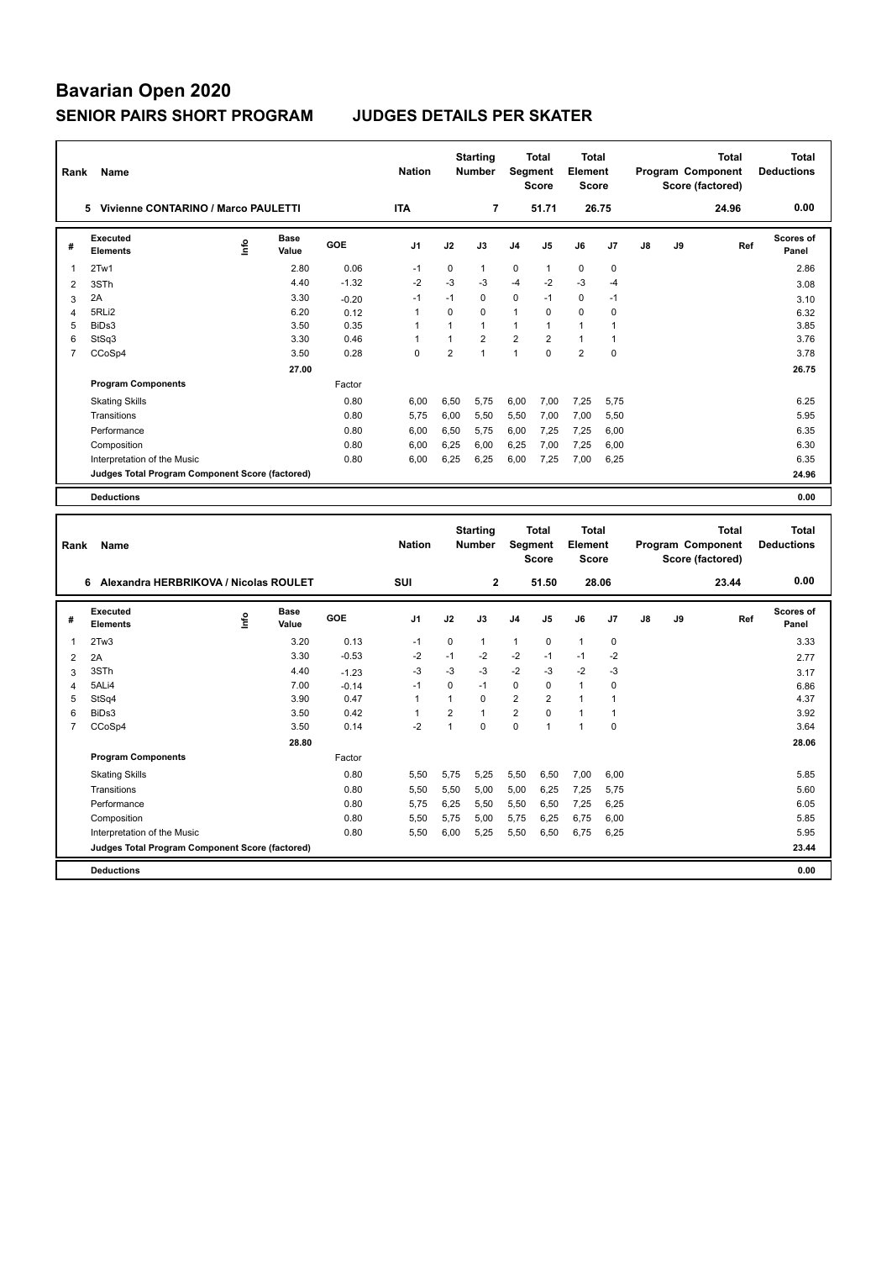| Rank                | Name                                            | <b>Nation</b> |                      | <b>Starting</b><br>Number | Segment                      | <b>Total</b><br><b>Score</b>   | <b>Total</b><br>Element<br><b>Score</b> |                      |                               |                                         | <b>Total</b><br>Program Component<br>Score (factored) | <b>Total</b><br><b>Deductions</b> |    |                                                       |                                   |
|---------------------|-------------------------------------------------|---------------|----------------------|---------------------------|------------------------------|--------------------------------|-----------------------------------------|----------------------|-------------------------------|-----------------------------------------|-------------------------------------------------------|-----------------------------------|----|-------------------------------------------------------|-----------------------------------|
|                     | 5 Vivienne CONTARINO / Marco PAULETTI           |               |                      |                           | <b>ITA</b>                   |                                | 7                                       |                      | 51.71                         |                                         | 26.75                                                 |                                   |    | 24.96                                                 | 0.00                              |
| #                   | <b>Executed</b><br><b>Elements</b>              | lnfo          | <b>Base</b><br>Value | GOE                       | J <sub>1</sub>               | J2                             | J3                                      | J4                   | J5                            | J6                                      | J7                                                    | J8                                | J9 | Ref                                                   | Scores of<br>Panel                |
| 1                   | 2Tw1                                            |               | 2.80                 | 0.06                      | $-1$                         | 0                              | $\mathbf{1}$                            | 0                    | $\mathbf{1}$                  | 0                                       | 0                                                     |                                   |    |                                                       | 2.86                              |
| $\overline{2}$      | 3STh                                            |               | 4.40                 | $-1.32$                   | $-2$                         | $-3$                           | $-3$                                    | $-4$                 | $-2$                          | $-3$                                    | $-4$                                                  |                                   |    |                                                       | 3.08                              |
| 3                   | 2A                                              |               | 3.30                 | $-0.20$                   | $-1$                         | $-1$                           | $\Omega$                                | 0                    | $-1$                          | $\mathbf 0$                             | $-1$                                                  |                                   |    |                                                       | 3.10                              |
| $\overline{4}$      | 5RLi2                                           |               | 6.20                 | 0.12                      | $\mathbf{1}$                 | $\Omega$                       | $\mathbf 0$                             | 1                    | $\Omega$                      | $\mathbf 0$                             | $\mathbf 0$                                           |                                   |    |                                                       | 6.32                              |
| 5                   | BiDs3                                           |               | 3.50                 | 0.35                      | $\mathbf{1}$                 | 1                              | $\mathbf{1}$                            | 1                    | 1                             | $\mathbf{1}$                            | $\mathbf{1}$                                          |                                   |    |                                                       | 3.85                              |
| 6                   | StSq3                                           |               | 3.30                 | 0.46                      | $\mathbf{1}$                 | $\mathbf{1}$                   | $\overline{2}$                          | $\overline{2}$       | $\overline{2}$                | $\mathbf{1}$                            | $\overline{1}$                                        |                                   |    |                                                       | 3.76                              |
| $\overline{7}$      | CCoSp4                                          |               | 3.50                 | 0.28                      | $\Omega$                     | $\overline{2}$                 | $\mathbf{1}$                            | $\mathbf{1}$         | $\Omega$                      | $\overline{2}$                          | $\mathbf 0$                                           |                                   |    |                                                       | 3.78                              |
|                     |                                                 |               | 27.00                |                           |                              |                                |                                         |                      |                               |                                         |                                                       |                                   |    |                                                       | 26.75                             |
|                     | <b>Program Components</b>                       |               |                      | Factor                    |                              |                                |                                         |                      |                               |                                         |                                                       |                                   |    |                                                       |                                   |
|                     | <b>Skating Skills</b>                           |               |                      | 0.80                      | 6,00                         | 6,50                           | 5,75                                    | 6,00                 | 7,00                          | 7,25                                    | 5,75                                                  |                                   |    |                                                       | 6.25                              |
|                     | Transitions                                     |               |                      | 0.80                      | 5,75                         | 6,00                           | 5,50                                    | 5,50                 | 7,00                          | 7,00                                    | 5,50                                                  |                                   |    |                                                       | 5.95                              |
|                     | Performance                                     |               |                      | 0.80                      | 6,00                         | 6,50                           | 5,75                                    | 6,00                 | 7,25                          | 7,25                                    | 6,00                                                  |                                   |    |                                                       | 6.35                              |
|                     | Composition                                     |               |                      | 0.80                      | 6,00                         | 6,25                           | 6,00                                    | 6,25                 | 7,00                          | 7,25                                    | 6,00                                                  |                                   |    |                                                       | 6.30                              |
|                     | Interpretation of the Music                     |               |                      | 0.80                      | 6,00                         | 6,25                           | 6,25                                    | 6,00                 | 7,25                          | 7,00                                    | 6,25                                                  |                                   |    |                                                       | 6.35                              |
|                     | Judges Total Program Component Score (factored) |               |                      |                           |                              |                                |                                         |                      |                               |                                         |                                                       |                                   |    |                                                       | 24.96                             |
|                     |                                                 |               |                      |                           |                              |                                |                                         |                      |                               |                                         |                                                       |                                   |    |                                                       |                                   |
|                     |                                                 |               |                      |                           |                              |                                |                                         |                      |                               |                                         |                                                       |                                   |    |                                                       |                                   |
|                     | <b>Deductions</b>                               |               |                      |                           |                              |                                |                                         |                      |                               |                                         |                                                       |                                   |    |                                                       | 0.00                              |
| Rank                | Name                                            |               |                      |                           | <b>Nation</b>                |                                | <b>Starting</b><br><b>Number</b>        | Segment              | <b>Total</b><br><b>Score</b>  | <b>Total</b><br>Element<br><b>Score</b> |                                                       |                                   |    | <b>Total</b><br>Program Component<br>Score (factored) | <b>Total</b><br><b>Deductions</b> |
|                     | 6 Alexandra HERBRIKOVA / Nicolas ROULET         |               |                      |                           | SUI                          |                                | $\mathbf 2$                             |                      | 51.50                         |                                         | 28.06                                                 |                                   |    | 23.44                                                 | 0.00                              |
| #                   | Executed<br><b>Elements</b>                     | Info          | <b>Base</b><br>Value | <b>GOE</b>                | J <sub>1</sub>               | J2                             | J3                                      | J <sub>4</sub>       | J5                            | J6                                      | J7                                                    | J8                                | J9 | Ref                                                   | <b>Scores of</b><br>Panel         |
| $\mathbf{1}$        |                                                 |               |                      |                           | $-1$                         |                                |                                         |                      | $\mathbf 0$                   |                                         |                                                       |                                   |    |                                                       |                                   |
|                     | 2Tw3                                            |               | 3.20                 | 0.13<br>$-0.53$           | $-2$                         | 0<br>$-1$                      | 1<br>$-2$                               | $\mathbf{1}$<br>$-2$ | $-1$                          | $\mathbf{1}$<br>$-1$                    | $\pmb{0}$<br>$-2$                                     |                                   |    |                                                       | 3.33                              |
| $\overline{2}$      | 2A                                              |               | 3.30                 |                           |                              |                                |                                         |                      |                               |                                         |                                                       |                                   |    |                                                       | 2.77                              |
| 3                   | 3STh                                            |               | 4.40                 | $-1.23$                   | $-3$<br>$-1$                 | $-3$<br>$\Omega$               | -3<br>$-1$                              | $-2$                 | $-3$                          | $-2$                                    | $-3$                                                  |                                   |    |                                                       | 3.17                              |
| 4                   | 5ALi4                                           |               | 7.00                 | $-0.14$                   |                              | $\mathbf{1}$                   | $\Omega$                                | 0                    | $\mathbf 0$                   | $\mathbf{1}$                            | $\mathbf 0$                                           |                                   |    |                                                       | 6.86                              |
| 5                   | StSq4                                           |               | 3.90                 | 0.47                      | $\mathbf{1}$<br>$\mathbf{1}$ |                                | $\mathbf{1}$                            | $\overline{2}$       | $\overline{2}$<br>$\mathbf 0$ | $\mathbf{1}$                            | $\mathbf{1}$<br>$\mathbf{1}$                          |                                   |    |                                                       | 4.37                              |
| 6<br>$\overline{7}$ | BiDs3                                           |               | 3.50<br>3.50         | 0.42<br>0.14              | $-2$                         | $\overline{2}$<br>$\mathbf{1}$ | $\Omega$                                | 2<br>$\Omega$        | $\mathbf{1}$                  | $\mathbf{1}$<br>$\mathbf{1}$            | $\mathbf 0$                                           |                                   |    |                                                       | 3.92<br>3.64                      |
|                     | CCoSp4                                          |               |                      |                           |                              |                                |                                         |                      |                               |                                         |                                                       |                                   |    |                                                       |                                   |
|                     |                                                 |               | 28.80                |                           |                              |                                |                                         |                      |                               |                                         |                                                       |                                   |    |                                                       | 28.06                             |
|                     | <b>Program Components</b>                       |               |                      | Factor                    |                              |                                |                                         |                      |                               |                                         |                                                       |                                   |    |                                                       |                                   |
|                     | <b>Skating Skills</b><br>Transitions            |               |                      | 0.80<br>0.80              | 5,50<br>5,50                 | 5,75<br>5,50                   | 5,25<br>5,00                            | 5,50<br>5,00         | 6,50<br>6,25                  | 7,00<br>7,25                            | 6,00<br>5,75                                          |                                   |    |                                                       | 5.85<br>5.60                      |

Performance 0.80 5,75 6,25 5,50 5,50 6,50 7,25 6,25 6.05 Composition 0.80 5,50 5,75 5,00 5,75 6,25 6,75 6,00<br>
19.80 5,50 6,00 5,25 5,50 6,50 6,50 6,50 6,50 6,525 5.55  $5,50$   $6,00$   $5,25$   $5,50$   $6,50$   $6,75$   $6,25$ **Judges Total Program Component Score (factored) 23.44**

**Deductions 0.00**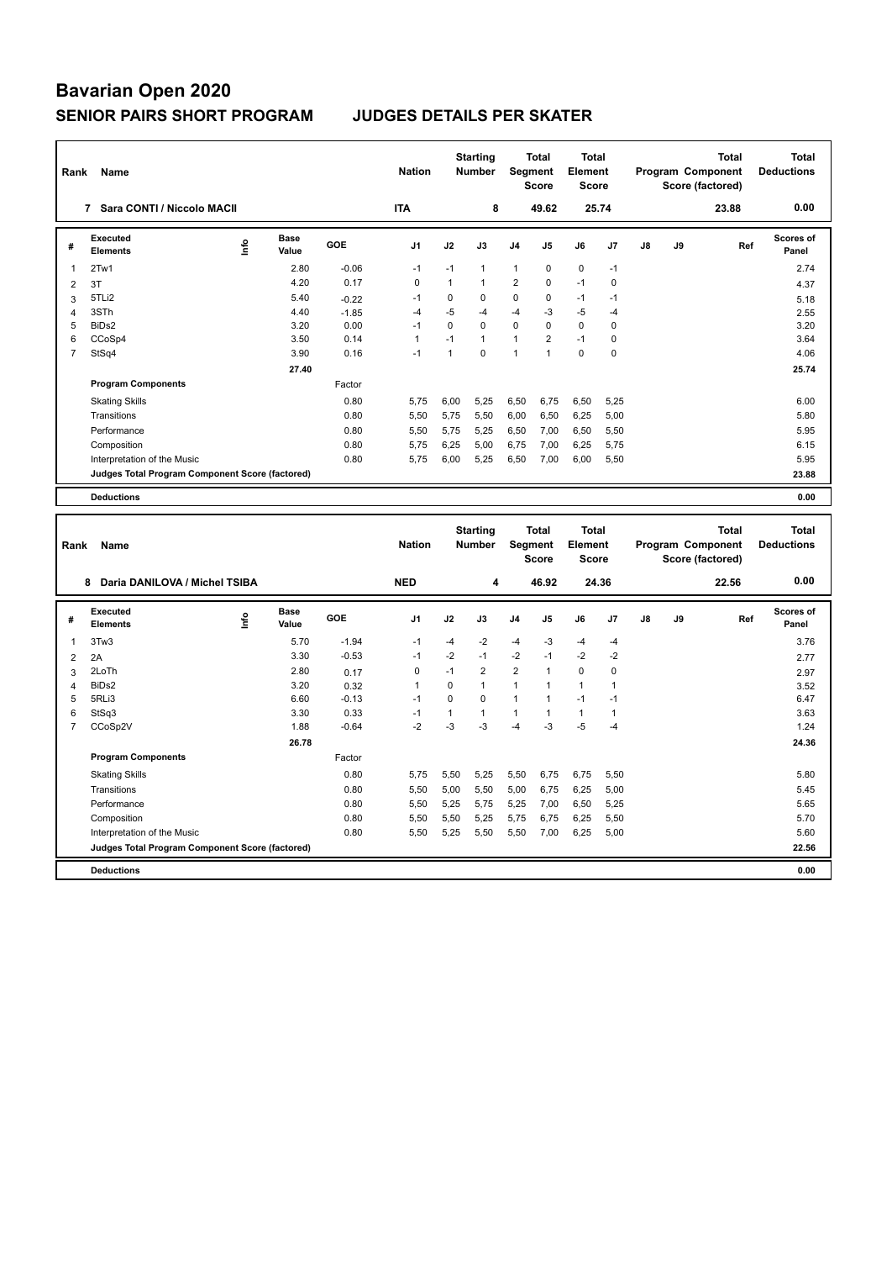| Rank           | Name                                            |      |                      |         | <b>Nation</b>  |              | <b>Starting</b><br><b>Number</b> | Segment        | <b>Total</b><br><b>Score</b>            | Total<br>Element<br><b>Score</b>        |                |                   |    | <b>Total</b><br>Program Component<br>Score (factored) | <b>Total</b><br><b>Deductions</b> |
|----------------|-------------------------------------------------|------|----------------------|---------|----------------|--------------|----------------------------------|----------------|-----------------------------------------|-----------------------------------------|----------------|-------------------|----|-------------------------------------------------------|-----------------------------------|
|                | 7 Sara CONTI / Niccolo MACII                    |      |                      |         | <b>ITA</b>     |              | 8                                |                | 49.62                                   |                                         | 25.74          |                   |    | 23.88                                                 | 0.00                              |
| #              | <b>Executed</b><br><b>Elements</b>              | e    | <b>Base</b><br>Value | GOE     | J <sub>1</sub> | J2           | J3                               | J4             | J5                                      | J6                                      | J7             | J8                | J9 | Ref                                                   | Scores of<br>Panel                |
| 1              | 2Tw1                                            |      | 2.80                 | $-0.06$ | $-1$           | $-1$         | $\mathbf{1}$                     | $\mathbf{1}$   | $\pmb{0}$                               | 0                                       | $-1$           |                   |    |                                                       | 2.74                              |
| $\overline{2}$ | 3T                                              |      | 4.20                 | 0.17    | $\mathbf 0$    | $\mathbf{1}$ | $\mathbf{1}$                     | $\overline{2}$ | $\mathbf 0$                             | $-1$                                    | $\mathbf 0$    |                   |    |                                                       | 4.37                              |
| 3              | 5TLi2                                           |      | 5.40                 | $-0.22$ | $-1$           | $\pmb{0}$    | 0                                | 0              | $\pmb{0}$                               | $-1$                                    | $-1$           |                   |    |                                                       | 5.18                              |
| $\overline{4}$ | 3STh                                            |      | 4.40                 | $-1.85$ | $-4$           | $-5$         | $-4$                             | $-4$           | $-3$                                    | $-5$                                    | $-4$           |                   |    |                                                       | 2.55                              |
| 5              | BiDs2                                           |      | 3.20                 | 0.00    | $-1$           | $\Omega$     | $\Omega$                         | $\Omega$       | $\Omega$                                | $\Omega$                                | $\mathbf 0$    |                   |    |                                                       | 3.20                              |
| 6              | CCoSp4                                          |      | 3.50                 | 0.14    | $\mathbf{1}$   | $-1$         | $\mathbf{1}$                     | 1              | $\overline{2}$                          | $-1$                                    | $\mathbf 0$    |                   |    |                                                       | 3.64                              |
| $\overline{7}$ | StSq4                                           |      | 3.90                 | 0.16    | $-1$           | $\mathbf{1}$ | $\Omega$                         | $\mathbf{1}$   | $\overline{1}$                          | $\mathbf 0$                             | $\mathbf 0$    |                   |    |                                                       | 4.06                              |
|                |                                                 |      | 27.40                |         |                |              |                                  |                |                                         |                                         |                |                   |    |                                                       | 25.74                             |
|                | <b>Program Components</b>                       |      |                      | Factor  |                |              |                                  |                |                                         |                                         |                |                   |    |                                                       |                                   |
|                | <b>Skating Skills</b>                           |      |                      | 0.80    | 5,75           | 6,00         | 5,25                             | 6,50           | 6,75                                    | 6,50                                    | 5,25           |                   |    |                                                       | 6.00                              |
|                | Transitions                                     |      |                      | 0.80    | 5,50           | 5,75         | 5,50                             | 6,00           | 6,50                                    | 6,25                                    | 5,00           |                   |    |                                                       | 5.80                              |
|                | Performance                                     |      |                      | 0.80    | 5.50           | 5,75         | 5.25                             | 6,50           | 7,00                                    | 6,50                                    | 5,50           |                   |    |                                                       | 5.95                              |
|                | Composition                                     |      |                      | 0.80    | 5,75           | 6,25         | 5,00                             | 6,75           | 7,00                                    | 6,25                                    | 5,75           |                   |    |                                                       | 6.15                              |
|                | Interpretation of the Music                     |      |                      | 0.80    | 5.75           | 6,00         | 5,25                             | 6,50           | 7,00                                    | 6,00                                    | 5,50           |                   |    |                                                       | 5.95                              |
|                | Judges Total Program Component Score (factored) |      |                      |         |                |              |                                  |                |                                         |                                         |                |                   |    |                                                       | 23.88                             |
|                | <b>Deductions</b>                               |      |                      |         |                |              |                                  |                |                                         |                                         |                |                   |    |                                                       | 0.00                              |
|                |                                                 |      |                      |         |                |              |                                  |                |                                         |                                         |                |                   |    |                                                       |                                   |
|                | Rank<br>Name                                    |      |                      |         |                |              | <b>Starting</b><br><b>Number</b> |                | <b>Total</b><br>Segment<br><b>Score</b> | <b>Total</b><br>Element<br><b>Score</b> |                | Program Component |    | <b>Total</b><br>Score (factored)                      | <b>Total</b><br><b>Deductions</b> |
|                | Daria DANILOVA / Michel TSIBA<br>8              |      |                      |         | <b>NED</b>     |              | 4                                |                | 46.92                                   |                                         | 24.36          |                   |    | 22.56                                                 | 0.00                              |
| #              | <b>Executed</b><br><b>Elements</b>              | ١nfo | <b>Base</b><br>Value | GOE     | J <sub>1</sub> | J2           | J3                               | J4             | J5                                      | J6                                      | J <sub>7</sub> | J8                | J9 | Ref                                                   | Scores of<br>Panel                |
| 1              | 3Tw3                                            |      | 5.70                 | $-1.94$ | $-1$           | $-4$         | $-2$                             | $-4$           | $-3$                                    | $-4$                                    | $-4$           |                   |    |                                                       | 3.76                              |
| $\overline{2}$ | 2A                                              |      | 3.30                 | $-0.53$ | $-1$           | $-2$         | $-1$                             | $-2$           | $-1$                                    | $-2$                                    | $-2$           |                   |    |                                                       | 2.77                              |
| 3              | 2LoTh                                           |      | 2.80                 | 0.17    | $\mathbf 0$    | $-1$         | $\overline{2}$                   | $\overline{2}$ | $\mathbf{1}$                            | $\mathbf 0$                             | 0              |                   |    |                                                       | 2.97                              |
| $\overline{4}$ | BiDs2                                           |      | 3.20                 | 0.32    | 1              | $\Omega$     | $\mathbf{1}$                     | $\mathbf{1}$   | 1                                       | $\mathbf{1}$                            | $\overline{1}$ |                   |    |                                                       | 3.52                              |
| 5              | 5RLi3                                           |      | 6.60                 | $-0.13$ | $-1$           | $\Omega$     | $\Omega$                         | 1              | $\mathbf{1}$                            | $-1$                                    | $-1$           |                   |    |                                                       | 6.47                              |

6 StSq3 3.30 0.33 -1 1 1 1 1 1 1 3.63 7 CCoSp2V 1.88 -0.64 -2 -3 -3 -4 -3 -5 -4 1.24

Factor

Skating Skills 0.80 5,75 5,50 5,25 5,50 6,75 6,75 5,50

Transitions 0.80 5,50 5,00 5,50 5,00 6,75 6,25 5,00 5.45 Performance 0.80 5,50 5,25 5,75 5,25 7,00 6,50 5,25 5.65 Composition 0.80 5,50 5,50 5,25 5,75 6,75 6,25 5,50 5.70

**Judges Total Program Component Score (factored) 22.56**

 **26.78 24.36**

5,50 5,25 5,50 5,50 7,00 6,25 5,00

**Deductions 0.00**

**Program Components**